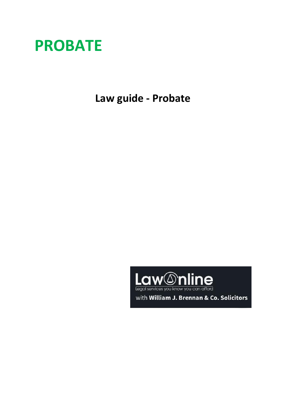

**Law guide - Probate**



with William J. Brennan & Co. Solicitors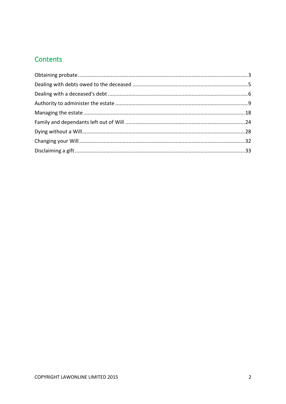# Contents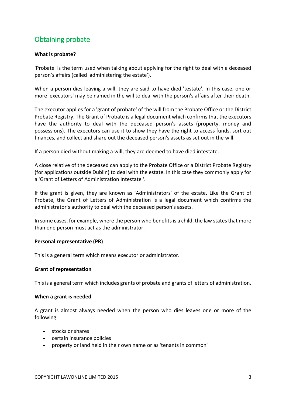# <span id="page-2-0"></span>Obtaining probate

## **What is probate?**

'Probate' is the term used when talking about applying for the right to deal with a deceased person's affairs (called 'administering the estate').

When a person dies leaving a will, they are said to have died 'testate'. In this case, one or more 'executors' may be named in the will to deal with the person's affairs after their death.

The executor applies for a 'grant of probate' of the will from the Probate Office or the District Probate Registry. The Grant of Probate is a legal document which confirms that the executors have the authority to deal with the deceased person's assets (property, money and possessions). The executors can use it to show they have the right to access funds, sort out finances, and collect and share out the deceased person's assets as set out in the will.

If a person died without making a will, they are deemed to have died intestate.

A close relative of the deceased can apply to the Probate Office or a District Probate Registry (for applications outside Dublin) to deal with the estate. In this case they commonly apply for a 'Grant of Letters of Administration Intestate '.

If the grant is given, they are known as 'Administrators' of the estate. Like the Grant of Probate, the Grant of Letters of Administration is a legal document which confirms the administrator's authority to deal with the deceased person's assets.

In some cases, for example, where the person who benefits is a child, the law states that more than one person must act as the administrator.

## **Personal representative (PR)**

This is a general term which means executor or administrator.

## **Grant of representation**

This is a general term which includes grants of probate and grants of letters of administration.

#### **When a grant is needed**

A grant is almost always needed when the person who dies leaves one or more of the following:

- stocks or shares
- certain insurance policies
- property or land held in their own name or as 'tenants in common'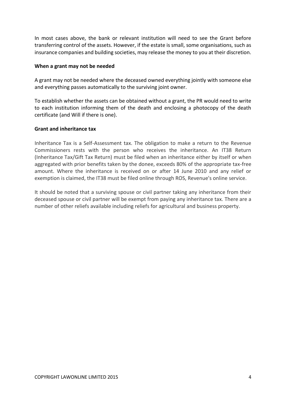In most cases above, the bank or relevant institution will need to see the Grant before transferring control of the assets. However, if the estate is small, some organisations, such as insurance companies and building societies, may release the money to you at their discretion.

#### **When a grant may not be needed**

A grant may not be needed where the deceased owned everything jointly with someone else and everything passes automatically to the surviving joint owner.

To establish whether the assets can be obtained without a grant, the PR would need to write to each institution informing them of the death and enclosing a photocopy of the death certificate (and Will if there is one).

#### **Grant and inheritance tax**

Inheritance Tax is a Self-Assessment tax. The obligation to make a return to the Revenue Commissioners rests with the person who receives the inheritance. An IT38 Return (Inheritance Tax/Gift Tax Return) must be filed when an inheritance either by itself or when aggregated with prior benefits taken by the donee, exceeds 80% of the appropriate tax-free amount. Where the inheritance is received on or after 14 June 2010 and any relief or exemption is claimed, the IT38 must be filed online through ROS, Revenue's online service.

It should be noted that a surviving spouse or civil partner taking any inheritance from their deceased spouse or civil partner will be exempt from paying any inheritance tax. There are a number of other reliefs available including reliefs for agricultural and business property.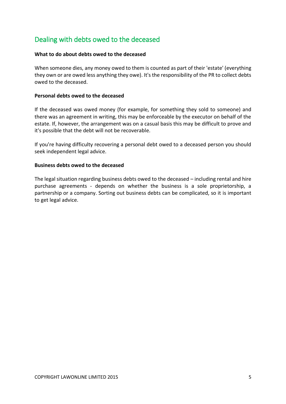# <span id="page-4-0"></span>Dealing with debts owed to the deceased

## **What to do about debts owed to the deceased**

When someone dies, any money owed to them is counted as part of their 'estate' (everything they own or are owed less anything they owe). It's the responsibility of the PR to collect debts owed to the deceased.

#### **Personal debts owed to the deceased**

If the deceased was owed money (for example, for something they sold to someone) and there was an agreement in writing, this may be enforceable by the executor on behalf of the estate. If, however, the arrangement was on a casual basis this may be difficult to prove and it's possible that the debt will not be recoverable.

If you're having difficulty recovering a personal debt owed to a deceased person you should seek independent legal advice.

#### **Business debts owed to the deceased**

The legal situation regarding business debts owed to the deceased – including rental and hire purchase agreements - depends on whether the business is a sole proprietorship, a partnership or a company. Sorting out business debts can be complicated, so it is important to get legal advice.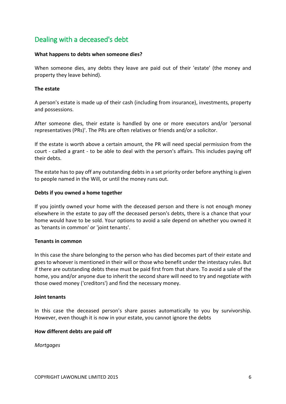# <span id="page-5-0"></span>Dealing with a deceased's debt

## **What happens to debts when someone dies?**

When someone dies, any debts they leave are paid out of their 'estate' (the money and property they leave behind).

## **The estate**

A person's estate is made up of their cash (including from insurance), investments, property and possessions.

After someone dies, their estate is handled by one or more executors and/or 'personal representatives (PRs)'. The PRs are often relatives or friends and/or a solicitor.

If the estate is worth above a certain amount, the PR will need special permission from the court - called a grant - to be able to deal with the person's affairs. This includes paying off their debts.

The estate has to pay off any outstanding debts in a set priority order before anything is given to people named in the Will, or until the money runs out.

## **Debts if you owned a home together**

If you jointly owned your home with the deceased person and there is not enough money elsewhere in the estate to pay off the deceased person's debts, there is a chance that your home would have to be sold. Your options to avoid a sale depend on whether you owned it as 'tenants in common' or 'joint tenants'.

## **Tenants in common**

In this case the share belonging to the person who has died becomes part of their estate and goes to whoever is mentioned in their will or those who benefit under the intestacy rules. But if there are outstanding debts these must be paid first from that share. To avoid a sale of the home, you and/or anyone due to inherit the second share will need to try and negotiate with those owed money ('creditors') and find the necessary money.

## **Joint tenants**

In this case the deceased person's share passes automatically to you by survivorship. However, even though it is now in your estate, you cannot ignore the debts

## **How different debts are paid off**

*Mortgages*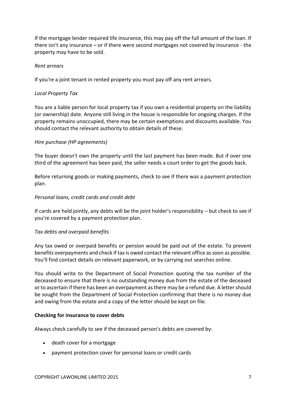If the mortgage lender required life insurance, this may pay off the full amount of the loan. If there isn't any insurance – or if there were second mortgages not covered by insurance - the property may have to be sold.

## *Rent arrears*

If you're a joint tenant in rented property you must pay off any rent arrears.

## *Local Property Tax*

You are a liable person for local property tax if you own a residential property on the liability (or ownership) date. Anyone still living in the house is responsible for ongoing charges. If the property remains unoccupied, there may be certain exemptions and discounts available. You should contact the relevant authority to obtain details of these.

## *Hire purchase (HP agreements)*

The buyer doesn't own the property until the last payment has been made. But if over one third of the agreement has been paid, the seller needs a court order to get the goods back.

Before returning goods or making payments, check to see if there was a payment protection plan.

## *Personal loans, credit cards and credit debt*

If cards are held jointly, any debts will be the joint holder's responsibility – but check to see if you're covered by a payment protection plan.

## *Tax debts and overpaid benefits*

Any tax owed or overpaid benefits or pension would be paid out of the estate. To prevent benefits overpayments and check if tax is owed contact the relevant office as soon as possible. You'll find contact details on relevant paperwork, or by carrying out searches online.

You should write to the Department of Social Protection quoting the tax number of the deceased to ensure that there is no outstanding money due from the estate of the deceased or to ascertain if there has been an overpayment as there may be a refund due. A letter should be sought from the Department of Social Protection confirming that there is no money due and owing from the estate and a copy of the letter should be kept on file.

## **Checking for insurance to cover debts**

Always check carefully to see if the deceased person's debts are covered by:

- death cover for a mortgage
- payment protection cover for personal loans or credit cards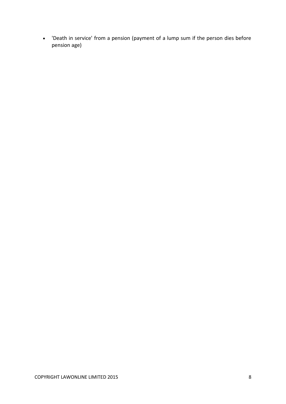'Death in service' from a pension (payment of a lump sum if the person dies before pension age)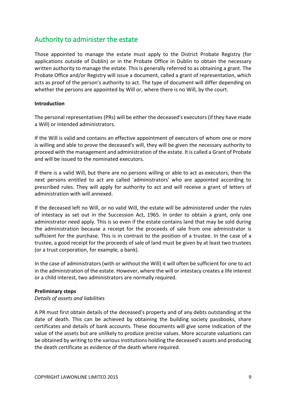# <span id="page-8-0"></span>Authority to administer the estate

Those appointed to manage the estate must apply to the District Probate Registry (for applications outside of Dublin) or in the Probate Office in Dublin to obtain the necessary written authority to manage the estate. This is generally referred to as obtaining a grant. The Probate Office and/or Registry will issue a document, called a grant of representation, which acts as proof of the person's authority to act. The type of document will differ depending on whether the persons are appointed by Will or, where there is no Will, by the court.

## **Introduction**

The personal representatives (PRs) will be either the deceased's executors (if they have made a Will) or intended administrators.

If the Will is valid and contains an effective appointment of executors of whom one or more is willing and able to prove the deceased's will, they will be given the necessary authority to proceed with the management and administration of the estate. It is called a Grant of Probate and will be issued to the nominated executors.

If there is a valid Will, but there are no persons willing or able to act as executors, then the next persons entitled to act are called 'administrators' who are appointed according to prescribed rules. They will apply for authority to act and will receive a grant of letters of administration with will annexed.

If the deceased left no Will, or no valid Will, the estate will be administered under the rules of intestacy as set out in the Succession Act, 1965. In order to obtain a grant, only one administrator need apply. This is so even if the estate contains land that may be sold during the administration because a receipt for the proceeds of sale from one administrator is sufficient for the purchase. This is in contrast to the position of a trustee. In the case of a trustee, a good receipt for the proceeds of sale of land must be given by at least two trustees (or a trust corporation, for example, a bank).

In the case of administrators (with or without the Will) it will often be sufficient for one to act in the administration of the estate. However, where the will or intestacy creates a life interest or a child interest, two administrators are normally required.

#### **Preliminary steps**

## *Details of assets and liabilities*

A PR must first obtain details of the deceased's property and of any debts outstanding at the date of death. This can be achieved by obtaining the building society passbooks, share certificates and details of bank accounts. These documents will give some indication of the value of the assets but are unlikely to produce precise values. More accurate valuations can be obtained by writing to the various institutions holding the deceased's assets and producing the death certificate as evidence of the death where required.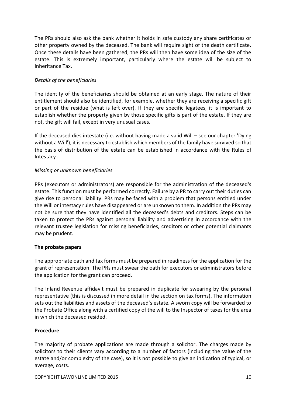The PRs should also ask the bank whether it holds in safe custody any share certificates or other property owned by the deceased. The bank will require sight of the death certificate. Once these details have been gathered, the PRs will then have some idea of the size of the estate. This is extremely important, particularly where the estate will be subject to Inheritance Tax.

## *Details of the beneficiaries*

The identity of the beneficiaries should be obtained at an early stage. The nature of their entitlement should also be identified, for example, whether they are receiving a specific gift or part of the residue (what is left over). If they are specific legatees, it is important to establish whether the property given by those specific gifts is part of the estate. If they are not, the gift will fail, except in very unusual cases.

If the deceased dies intestate (i.e. without having made a valid Will – see our chapter ['Dying](https://www.mylawyer.co.uk/law/index.cfm?event=article&node=B76691D77109A76991)  [without a Will'](https://www.mylawyer.co.uk/law/index.cfm?event=article&node=B76691D77109A76991)), it is necessary to establish which members of the family have survived so that the basis of distribution of the estate can be established in accordance with the Rules of Intestacy .

## *Missing or unknown beneficiaries*

PRs (executors or administrators) are responsible for the administration of the deceased's estate. This function must be performed correctly. Failure by a PR to carry out their duties can give rise to personal liability. PRs may be faced with a problem that persons entitled under the Will or intestacy rules have disappeared or are unknown to them. In addition the PRs may not be sure that they have identified all the deceased's debts and creditors. Steps can be taken to protect the PRs against personal liability and advertising in accordance with the relevant trustee legislation for missing beneficiaries, creditors or other potential claimants may be prudent.

## **The probate papers**

The appropriate oath and tax forms must be prepared in readiness for the application for the grant of representation. The PRs must swear the oath for executors or administrators before the application for the grant can proceed.

The Inland Revenue affidavit must be prepared in duplicate for swearing by the personal representative (this is discussed in more detail in the section on tax forms). The information sets out the liabilities and assets of the deceased's estate. A sworn copy will be forwarded to the Probate Office along with a certified copy of the will to the Inspector of taxes for the area in which the deceased resided.

## **Procedure**

The majority of probate applications are made through a solicitor. The charges made by solicitors to their clients vary according to a number of factors (including the value of the estate and/or complexity of the case), so it is not possible to give an indication of typical, or average, costs.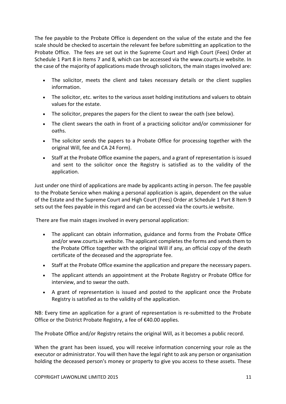The fee payable to the Probate Office is dependent on the value of the estate and the fee scale should be checked to ascertain the relevant fee before submitting an application to the Probate Office. The fees are set out in the Supreme Court and High Court (Fees) Order at Schedule 1 Part 8 in Items 7 and 8, which can be accessed via the www.courts.ie website. In the case of the majority of applications made through solicitors, the main stages involved are:

- The solicitor, meets the client and takes necessary details or the client supplies information.
- The solicitor, etc. writes to the various asset holding institutions and valuers to obtain values for the estate.
- The solicitor, prepares the papers for the client to swear the oath (see below).
- The client swears the oath in front of a practicing solicitor and/or commissioner for oaths.
- The solicitor sends the papers to a Probate Office for processing together with the original Will, fee and CA 24 Form).
- Staff at the Probate Office examine the papers, and a grant of representation is issued and sent to the solicitor once the Registry is satisfied as to the validity of the application.

Just under one third of applications are made by applicants acting in person. The fee payable to the Probate Service when making a personal application is again, dependent on the value of the Estate and the Supreme Court and High Court (Fees) Order at Schedule 1 Part 8 Item 9 sets out the fees payable in this regard and can be accessed via the courts.ie website.

There are five main stages involved in every personal application:

- The applicant can obtain information, guidance and forms from the Probate Office and/or [www.courts.ie](http://www.courts.ie/) website. The applicant completes the forms and sends them to the Probate Office together with the original Will if any, an official copy of the death certificate of the deceased and the appropriate fee.
- Staff at the Probate Office examine the application and prepare the necessary papers.
- The applicant [attends an appointment](http://www.hmcourts-service.gov.uk/cms/1166.htm) at the Probate Registry or Probate Office for interview, and to swear the oath.
- A grant of representation is issued and posted to the applicant once the Probate Registry is satisfied as to the validity of the application.

NB: Every time an application for a grant of representation is re-submitted to the Probate Office or the District Probate Registry, a fee of €40.00 applies.

The Probate Office and/or Registry retains the original Will, as it becomes a public record.

When the grant has been issued, you will receive information concerning your role as the executor or administrator. You will then have the legal right to ask any person or organisation holding the deceased person's money or property to give you access to these assets. These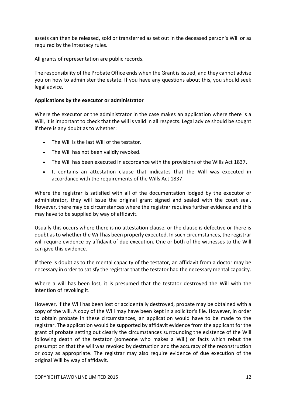assets can then be released, sold or transferred as set out in the deceased person's Will or as required by the intestacy rules.

All grants of representation are public records.

The responsibility of the Probate Office ends when the Grant is issued, and they cannot advise you on how to administer the estate. If you have any questions about this, you should seek legal advice.

## **Applications by the executor or administrator**

Where the executor or the administrator in the case makes an application where there is a Will, it is important to check that the will is valid in all respects. Legal advice should be sought if there is any doubt as to whether:

- The Will is the last Will of the testator.
- The Will has not been validly revoked.
- The Will has been executed in accordance with the provisions of the Wills Act 1837.
- It contains an attestation clause that indicates that the Will was executed in accordance with the requirements of the Wills Act 1837.

Where the registrar is satisfied with all of the documentation lodged by the executor or administrator, they will issue the original grant signed and sealed with the court seal. However, there may be circumstances where the registrar requires further evidence and this may have to be supplied by way of affidavit.

Usually this occurs where there is no attestation clause, or the clause is defective or there is doubt as to whether the Will has been properly executed. In such circumstances, the registrar will require evidence by affidavit of due execution. One or both of the witnesses to the Will can give this evidence.

If there is doubt as to the mental capacity of the testator, an affidavit from a doctor may be necessary in order to satisfy the registrar that the testator had the necessary mental capacity.

Where a will has been lost, it is presumed that the testator destroyed the Will with the intention of revoking it.

However, if the Will has been lost or accidentally destroyed, probate may be obtained with a copy of the will. A copy of the Will may have been kept in a solicitor's file. However, in order to obtain probate in these circumstances, an application would have to be made to the registrar. The application would be supported by affidavit evidence from the applicant for the grant of probate setting out clearly the circumstances surrounding the existence of the Will following death of the testator (someone who makes a Will) or facts which rebut the presumption that the will was revoked by destruction and the accuracy of the reconstruction or copy as appropriate. The registrar may also require evidence of due execution of the original Will by way of affidavit.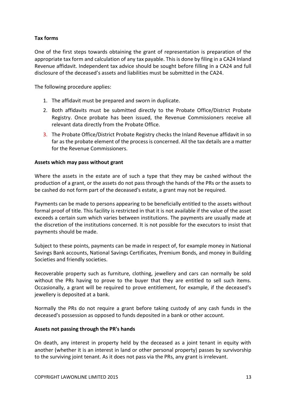## **Tax forms**

One of the first steps towards obtaining the grant of representation is preparation of the appropriate tax form and calculation of any tax payable. This is done by filing in a CA24 Inland Revenue affidavit. Independent tax advice should be sought before filling in a CA24 and full disclosure of the deceased's assets and liabilities must be submitted in the CA24.

The following procedure applies:

- 1. The affidavit must be prepared and sworn in duplicate.
- 2. Both affidavits must be submitted directly to the Probate Office/District Probate Registry. Once probate has been issued, the Revenue Commissioners receive all relevant data directly from the Probate Office.
- 3. The Probate Office/District Probate Registry checks the Inland Revenue affidavit in so far as the probate element of the process is concerned. All the tax details are a matter for the Revenue Commissioners.

#### **Assets which may pass without grant**

Where the assets in the estate are of such a type that they may be cashed without the production of a grant, or the assets do not pass through the hands of the PRs or the assets to be cashed do not form part of the deceased's estate, a grant may not be required.

Payments can be made to persons appearing to be beneficially entitled to the assets without formal proof of title. This facility is restricted in that it is not available if the value of the asset exceeds a certain sum which varies between institutions. The payments are usually made at the discretion of the institutions concerned. It is not possible for the executors to insist that payments should be made.

Subject to these points, payments can be made in respect of, for example money in National Savings Bank accounts, National Savings Certificates, Premium Bonds, and money in Building Societies and friendly societies.

Recoverable property such as furniture, clothing, jewellery and cars can normally be sold without the PRs having to prove to the buyer that they are entitled to sell such items. Occasionally, a grant will be required to prove entitlement, for example, if the deceased's jewellery is deposited at a bank.

Normally the PRs do not require a grant before taking custody of any cash funds in the deceased's possession as opposed to funds deposited in a bank or other account.

#### **Assets not passing through the PR's hands**

On death, any interest in property held by the deceased as a joint tenant in equity with another (whether it is an interest in land or other personal property) passes by survivorship to the surviving joint tenant. As it does not pass via the PRs, any grant is irrelevant.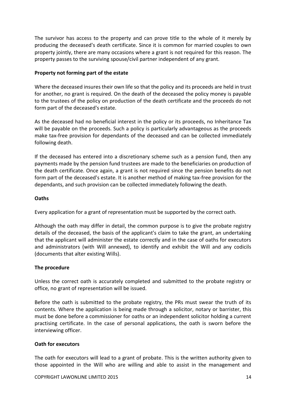The survivor has access to the property and can prove title to the whole of it merely by producing the deceased's death certificate. Since it is common for married couples to own property jointly, there are many occasions where a grant is not required for this reason. The property passes to the surviving spouse/civil partner independent of any grant.

## **Property not forming part of the estate**

Where the deceased insures their own life so that the policy and its proceeds are held in trust for another, no grant is required. On the death of the deceased the policy money is payable to the trustees of the policy on production of the death certificate and the proceeds do not form part of the deceased's estate.

As the deceased had no beneficial interest in the policy or its proceeds, no Inheritance Tax will be payable on the proceeds. Such a policy is particularly advantageous as the proceeds make tax-free provision for dependants of the deceased and can be collected immediately following death.

If the deceased has entered into a discretionary scheme such as a pension fund, then any payments made by the pension fund trustees are made to the beneficiaries on production of the death certificate. Once again, a grant is not required since the pension benefits do not form part of the deceased's estate. It is another method of making tax-free provision for the dependants, and such provision can be collected immediately following the death.

## **Oaths**

Every application for a grant of representation must be supported by the correct oath.

Although the oath may differ in detail, the common purpose is to give the probate registry details of the deceased, the basis of the applicant's claim to take the grant, an undertaking that the applicant will administer the estate correctly and in the case of oaths for executors and administrators (with Will annexed), to identify and exhibit the Will and any codicils (documents that alter existing Wills).

## **The procedure**

Unless the correct oath is accurately completed and submitted to the probate registry or office, no grant of representation will be issued.

Before the oath is submitted to the probate registry, the PRs must swear the truth of its contents. Where the application is being made through a solicitor, notary or barrister, this must be done before a commissioner for oaths or an independent solicitor holding a current practising certificate. In the case of personal applications, the oath is sworn before the interviewing officer.

## **Oath for executors**

The oath for executors will lead to a grant of probate. This is the written authority given to those appointed in the Will who are willing and able to assist in the management and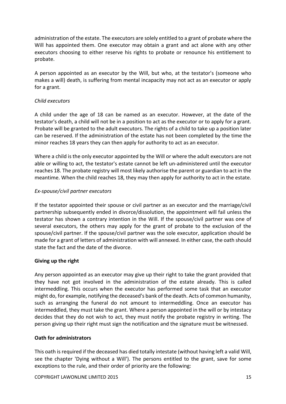administration of the estate. The executors are solely entitled to a grant of probate where the Will has appointed them. One executor may obtain a grant and act alone with any other executors choosing to either reserve his rights to probate or renounce his entitlement to probate.

A person appointed as an executor by the Will, but who, at the testator's (someone who makes a will) death, is suffering from mental incapacity may not act as an executor or apply for a grant.

## *Child executors*

A child under the age of 18 can be named as an executor. However, at the date of the testator's death, a child will not be in a position to act as the executor or to apply for a grant. Probate will be granted to the adult executors. The rights of a child to take up a position later can be reserved. If the administration of the estate has not been completed by the time the minor reaches 18 years they can then apply for authority to act as an executor.

Where a child is the only executor appointed by the Will or where the adult executors are not able or willing to act, the testator's estate cannot be left un-administered until the executor reaches 18. The probate registry will most likely authorise the parent or guardian to act in the meantime. When the child reaches 18, they may then apply for authority to act in the estate.

## *Ex-spouse/civil partner executors*

If the testator appointed their spouse or civil partner as an executor and the marriage/civil partnership subsequently ended in divorce/dissolution, the appointment will fail unless the testator has shown a contrary intention in the Will. If the spouse/civil partner was one of several executors, the others may apply for the grant of probate to the exclusion of the spouse/civil partner. If the spouse/civil partner was the sole executor, application should be made for a grant of letters of administration with will annexed. In either case, the oath should state the fact and the date of the divorce.

## **Giving up the right**

Any person appointed as an executor may give up their right to take the grant provided that they have not got involved in the administration of the estate already. This is called intermeddling. This occurs when the executor has performed some task that an executor might do, for example, notifying the deceased's bank of the death. Acts of common humanity, such as arranging the funeral do not amount to intermeddling. Once an executor has intermeddled, they must take the grant. Where a person appointed in the will or by intestacy decides that they do not wish to act, they must notify the probate registry in writing. The person giving up their right must sign the notification and the signature must be witnessed.

## **Oath for administrators**

This oath is required if the deceased has died totally intestate (without having left a valid Will, see the chapter ['Dying without a Will'](https://www.mylawyer.co.uk/law/index.cfm?event=article&node=B76691D77109A76991)). The persons entitled to the grant, save for some exceptions to the rule, and their order of priority are the following: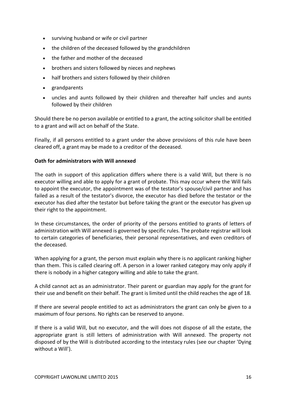- surviving husband or wife or civil partner
- the children of the deceased followed by the grandchildren
- the father and mother of the deceased
- brothers and sisters followed by nieces and nephews
- half brothers and sisters followed by their children
- grandparents
- uncles and aunts followed by their children and thereafter half uncles and aunts followed by their children

Should there be no person available or entitled to a grant, the acting solicitor shall be entitled to a grant and will act on behalf of the State.

Finally, if all persons entitled to a grant under the above provisions of this rule have been cleared off, a grant may be made to a creditor of the deceased.

## **Oath for administrators with Will annexed**

The oath in support of this application differs where there is a valid Will, but there is no executor willing and able to apply for a grant of probate. This may occur where the Will fails to appoint the executor, the appointment was of the testator's spouse/civil partner and has failed as a result of the testator's divorce, the executor has died before the testator or the executor has died after the testator but before taking the grant or the executor has given up their right to the appointment.

In these circumstances, the order of priority of the persons entitled to grants of letters of administration with Will annexed is governed by specific rules. The probate registrar will look to certain categories of beneficiaries, their personal representatives, and even creditors of the deceased.

When applying for a grant, the person must explain why there is no applicant ranking higher than them. This is called clearing off. A person in a lower ranked category may only apply if there is nobody in a higher category willing and able to take the grant.

A child cannot act as an administrator. Their parent or guardian may apply for the grant for their use and benefit on their behalf. The grant is limited until the child reaches the age of 18.

If there are several people entitled to act as administrators the grant can only be given to a maximum of four persons. No rights can be reserved to anyone.

If there is a valid Will, but no executor, and the will does not dispose of all the estate, the appropriate grant is still letters of administration with Will annexed. The property not disposed of by the Will is distributed according to the intestacy rules (see our chapter ['Dying](https://www.mylawyer.co.uk/law/index.cfm?event=article&node=B76691D77109A76991)  [without a Will'](https://www.mylawyer.co.uk/law/index.cfm?event=article&node=B76691D77109A76991)).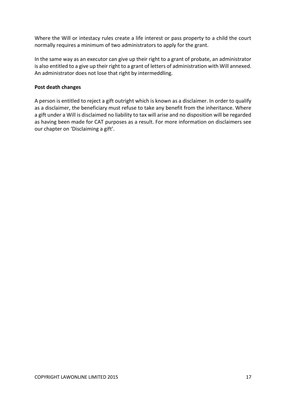Where the Will or intestacy rules create a life interest or pass property to a child the court normally requires a minimum of two administrators to apply for the grant.

In the same way as an executor can give up their right to a grant of probate, an administrator is also entitled to a give up their right to a grant of letters of administration with Will annexed. An administrator does not lose that right by intermeddling.

## **Post death changes**

A person is entitled to reject a gift outright which is known as a disclaimer. In order to qualify as a disclaimer, the beneficiary must refuse to take any benefit from the inheritance. Where a gift under a Will is disclaimed no liability to tax will arise and no disposition will be regarded as having been made for CAT purposes as a result. For more information on disclaimers see our chapter on 'Disclaiming a gift'.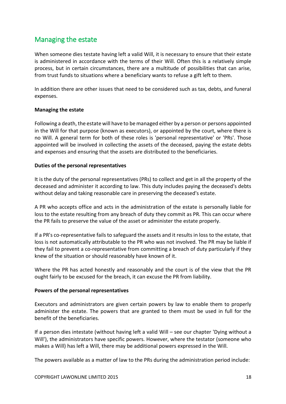# <span id="page-17-0"></span>Managing the estate

When someone dies testate having left a valid Will, it is necessary to ensure that their estate is administered in accordance with the terms of their Will. Often this is a relatively simple process, but in certain circumstances, there are a multitude of possibilities that can arise, from trust funds to situations where a beneficiary wants to refuse a gift left to them.

In addition there are other issues that need to be considered such as tax, debts, and funeral expenses.

## **Managing the estate**

Following a death, the estate will have to be managed either by a person or persons appointed in the Will for that purpose (known as executors), or appointed by the court, where there is no Will. A general term for both of these roles is 'personal representative' or 'PRs'. Those appointed will be involved in collecting the assets of the deceased, paying the estate debts and expenses and ensuring that the assets are distributed to the beneficiaries.

#### **Duties of the personal representatives**

It is the duty of the personal representatives (PRs) to collect and get in all the property of the deceased and administer it according to law. This duty includes paying the deceased's debts without delay and taking reasonable care in preserving the deceased's estate.

A PR who accepts office and acts in the administration of the estate is personally liable for loss to the estate resulting from any breach of duty they commit as PR. This can occur where the PR fails to preserve the value of the asset or administer the estate properly.

If a PR's co-representative fails to safeguard the assets and it results in loss to the estate, that loss is not automatically attributable to the PR who was not involved. The PR may be liable if they fail to prevent a co-representative from committing a breach of duty particularly if they knew of the situation or should reasonably have known of it.

Where the PR has acted honestly and reasonably and the court is of the view that the PR ought fairly to be excused for the breach, it can excuse the PR from liability.

## **Powers of the personal representatives**

Executors and administrators are given certain powers by law to enable them to properly administer the estate. The powers that are granted to them must be used in full for the benefit of the beneficiaries.

If a person dies intestate (without having left a valid Will – see our chapter ['Dying without a](https://www.mylawyer.co.uk/law/index.cfm?event=article&node=B76691D77109A76991)  [Will'](https://www.mylawyer.co.uk/law/index.cfm?event=article&node=B76691D77109A76991)), the administrators have specific powers. However, where the testator (someone who makes a Will) has left a Will, there may be additional powers expressed in the Will.

The powers available as a matter of law to the PRs during the administration period include: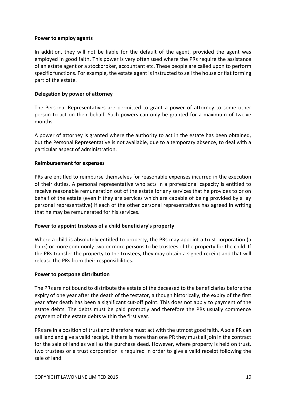## **Power to employ agents**

In addition, they will not be liable for the default of the agent, provided the agent was employed in good faith. This power is very often used where the PRs require the assistance of an estate agent or a stockbroker, accountant etc. These people are called upon to perform specific functions. For example, the estate agent is instructed to sell the house or flat forming part of the estate.

## **Delegation by power of attorney**

The Personal Representatives are permitted to grant a power of attorney to some other person to act on their behalf. Such powers can only be granted for a maximum of twelve months.

A power of attorney is granted where the authority to act in the estate has been obtained, but the Personal Representative is not available, due to a temporary absence, to deal with a particular aspect of administration.

## **Reimbursement for expenses**

PRs are entitled to reimburse themselves for reasonable expenses incurred in the execution of their duties. A personal representative who acts in a professional capacity is entitled to receive reasonable remuneration out of the estate for any services that he provides to or on behalf of the estate (even if they are services which are capable of being provided by a lay personal representative) if each of the other personal representatives has agreed in writing that he may be remunerated for his services.

## **Power to appoint trustees of a child beneficiary's property**

Where a child is absolutely entitled to property, the PRs may appoint a trust corporation (a bank) or more commonly two or more persons to be trustees of the property for the child. If the PRs transfer the property to the trustees, they may obtain a signed receipt and that will release the PRs from their responsibilities.

## **Power to postpone distribution**

The PRs are not bound to distribute the estate of the deceased to the beneficiaries before the expiry of one year after the death of the testator, although historically, the expiry of the first year after death has been a significant cut-off point. This does not apply to payment of the estate debts. The debts must be paid promptly and therefore the PRs usually commence payment of the estate debts within the first year.

PRs are in a position of trust and therefore must act with the utmost good faith. A sole PR can sell land and give a valid receipt. If there is more than one PR they must all join in the contract for the sale of land as well as the purchase deed. However, where property is held on trust, two trustees or a trust corporation is required in order to give a valid receipt following the sale of land.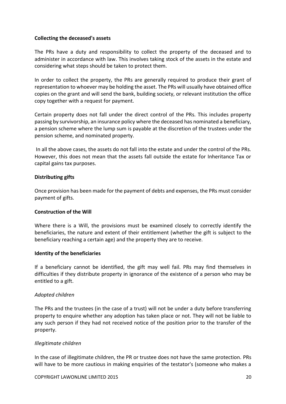## **Collecting the deceased's assets**

The PRs have a duty and responsibility to collect the property of the deceased and to administer in accordance with law. This involves taking stock of the assets in the estate and considering what steps should be taken to protect them.

In order to collect the property, the PRs are generally required to produce their grant of representation to whoever may be holding the asset. The PRs will usually have obtained office copies on the grant and will send the bank, building society, or relevant institution the office copy together with a request for payment.

Certain property does not fall under the direct control of the PRs. This includes property passing by survivorship, an insurance policy where the deceased has nominated a beneficiary, a pension scheme where the lump sum is payable at the discretion of the trustees under the pension scheme, and nominated property.

In all the above cases, the assets do not fall into the estate and under the control of the PRs. However, this does not mean that the assets fall outside the estate for Inheritance Tax or capital gains tax purposes.

## **Distributing gifts**

Once provision has been made for the payment of debts and expenses, the PRs must consider payment of gifts.

## **Construction of the Will**

Where there is a Will, the provisions must be examined closely to correctly identify the beneficiaries, the nature and extent of their entitlement (whether the gift is subject to the beneficiary reaching a certain age) and the property they are to receive.

## **Identity of the beneficiaries**

If a beneficiary cannot be identified, the gift may well fail. PRs may find themselves in difficulties if they distribute property in ignorance of the existence of a person who may be entitled to a gift.

## *Adopted children*

The PRs and the trustees (in the case of a trust) will not be under a duty before transferring property to enquire whether any adoption has taken place or not. They will not be liable to any such person if they had not received notice of the position prior to the transfer of the property.

## *Illegitimate children*

In the case of illegitimate children, the PR or trustee does not have the same protection. PRs will have to be more cautious in making enquiries of the testator's (someone who makes a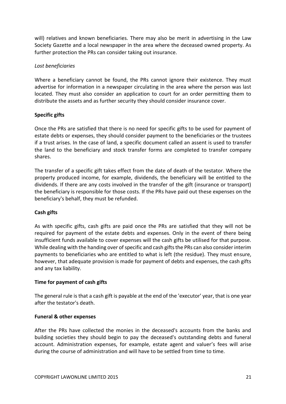will) relatives and known beneficiaries. There may also be merit in advertising in the Law Society Gazette and a local newspaper in the area where the deceased owned property. As further protection the PRs can consider taking out insurance.

## *Lost beneficiaries*

Where a beneficiary cannot be found, the PRs cannot ignore their existence. They must advertise for information in a newspaper circulating in the area where the person was last located. They must also consider an application to court for an order permitting them to distribute the assets and as further security they should consider insurance cover.

## **Specific gifts**

Once the PRs are satisfied that there is no need for specific gifts to be used for payment of estate debts or expenses, they should consider payment to the beneficiaries or the trustees if a trust arises. In the case of land, a specific document called an assent is used to transfer the land to the beneficiary and stock transfer forms are completed to transfer company shares.

The transfer of a specific gift takes effect from the date of death of the testator. Where the property produced income, for example, dividends, the beneficiary will be entitled to the dividends. If there are any costs involved in the transfer of the gift (insurance or transport) the beneficiary is responsible for those costs. If the PRs have paid out these expenses on the beneficiary's behalf, they must be refunded.

## **Cash gifts**

As with specific gifts, cash gifts are paid once the PRs are satisfied that they will not be required for payment of the estate debts and expenses. Only in the event of there being insufficient funds available to cover expenses will the cash gifts be utilised for that purpose. While dealing with the handing over of specific and cash gifts the PRs can also consider interim payments to beneficiaries who are entitled to what is left (the residue). They must ensure, however, that adequate provision is made for payment of debts and expenses, the cash gifts and any tax liability.

## **Time for payment of cash gifts**

The general rule is that a cash gift is payable at the end of the 'executor' year, that is one year after the testator's death.

## **Funeral & other expenses**

After the PRs have collected the monies in the deceased's accounts from the banks and building societies they should begin to pay the deceased's outstanding debts and funeral account. Administration expenses, for example, estate agent and valuer's fees will arise during the course of administration and will have to be settled from time to time.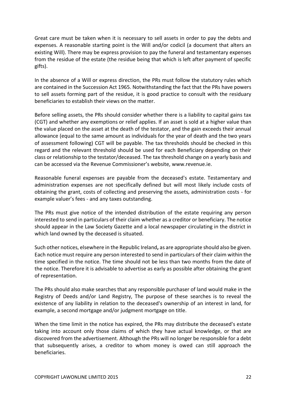Great care must be taken when it is necessary to sell assets in order to pay the debts and expenses. A reasonable starting point is the Will and/or codicil (a document that alters an existing Will). There may be express provision to pay the funeral and testamentary expenses from the residue of the estate (the residue being that which is left after payment of specific gifts).

In the absence of a Will or express direction, the PRs must follow the statutory rules which are contained in the Succession Act 1965. Notwithstanding the fact that the PRs have powers to sell assets forming part of the residue, it is good practice to consult with the residuary beneficiaries to establish their views on the matter.

Before selling assets, the PRs should consider whether there is a liability to capital gains tax (CGT) and whether any exemptions or relief applies. If an asset is sold at a higher value than the value placed on the asset at the death of the testator, and the gain exceeds their annual allowance (equal to the same amount as individuals for the year of death and the two years of assessment following) CGT will be payable. The tax thresholds should be checked in this regard and the relevant threshold should be used for each Beneficiary depending on their class or relationship to the testator/deceased. The tax threshold change on a yearly basis and can be accessed via the Revenue Commissioner's website, [www.revenue.ie.](http://www.revenue.ie/)

Reasonable funeral expenses are payable from the deceased's estate. Testamentary and administration expenses are not specifically defined but will most likely include costs of obtaining the grant, costs of collecting and preserving the assets, administration costs - for example valuer's fees - and any taxes outstanding.

The PRs must give notice of the intended distribution of the estate requiring any person interested to send in particulars of their claim whether as a creditor or beneficiary. The notice should appear in the Law Society Gazette and a local newspaper circulating in the district in which land owned by the deceased is situated.

Such other notices, elsewhere in the Republic Ireland**,** as are appropriate should also be given. Each notice must require any person interested to send in particulars of their claim within the time specified in the notice. The time should not be less than two months from the date of the notice. Therefore it is advisable to advertise as early as possible after obtaining the grant of representation.

The PRs should also make searches that any responsible purchaser of land would make in the Registry of Deeds and/or Land Registry, The purpose of these searches is to reveal the existence of any liability in relation to the deceased's ownership of an interest in land, for example, a second mortgage and/or judgment mortgage on title.

When the time limit in the notice has expired, the PRs may distribute the deceased's estate taking into account only those claims of which they have actual knowledge, or that are discovered from the advertisement. Although the PRs will no longer be responsible for a debt that subsequently arises, a creditor to whom money is owed can still approach the beneficiaries.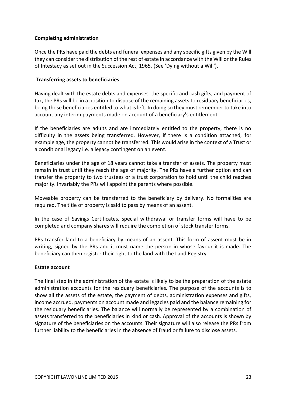## **Completing administration**

Once the PRs have paid the debts and funeral expenses and any specific gifts given by the Will they can consider the distribution of the rest of estate in accordance with the Will or the Rules of Intestacy as set out in the Succession Act, 1965. (See ['Dying without a Will'](https://www.mylawyer.co.uk/law/index.cfm?event=article&node=B76691D77109A76991)).

## **Transferring assets to beneficiaries**

Having dealt with the estate debts and expenses, the specific and cash gifts, and payment of tax, the PRs will be in a position to dispose of the remaining assets to residuary beneficiaries, being those beneficiaries entitled to what is left. In doing so they must remember to take into account any interim payments made on account of a beneficiary's entitlement.

If the beneficiaries are adults and are immediately entitled to the property, there is no difficulty in the assets being transferred. However, if there is a condition attached, for example age, the property cannot be transferred. This would arise in the context of a Trust or a conditional legacy i.e. a legacy contingent on an event.

Beneficiaries under the age of 18 years cannot take a transfer of assets. The property must remain in trust until they reach the age of majority. The PRs have a further option and can transfer the property to two trustees or a trust corporation to hold until the child reaches majority. Invariably the PRs will appoint the parents where possible.

Moveable property can be transferred to the beneficiary by delivery. No formalities are required. The title of property is said to pass by means of an assent.

In the case of Savings Certificates, special withdrawal or transfer forms will have to be completed and company shares will require the completion of stock transfer forms.

PRs transfer land to a beneficiary by means of an assent. This form of assent must be in writing, signed by the PRs and it must name the person in whose favour it is made. The beneficiary can then register their right to the land with the Land Registry

## **Estate account**

The final step in the administration of the estate is likely to be the preparation of the estate administration accounts for the residuary beneficiaries. The purpose of the accounts is to show all the assets of the estate, the payment of debts, administration expenses and gifts, income accrued, payments on account made and legacies paid and the balance remaining for the residuary beneficiaries. The balance will normally be represented by a combination of assets transferred to the beneficiaries in kind or cash. Approval of the accounts is shown by signature of the beneficiaries on the accounts. Their signature will also release the PRs from further liability to the beneficiaries in the absence of fraud or failure to disclose assets.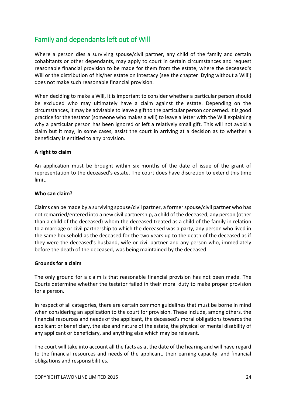# <span id="page-23-0"></span>Family and dependants left out of Will

Where a person dies a surviving spouse/civil partner, any child of the family and certain cohabitants or other dependants, may apply to court in certain circumstances and request reasonable financial provision to be made for them from the estate, where the deceased's Will or the distribution of his/her estate on intestacy (see the chapter ['Dying without a Will'](https://www.mylawyer.co.uk/law/index.cfm?event=article&node=B76691D77109A76991)) does not make such reasonable financial provision.

When deciding to make a Will, it is important to consider whether a particular person should be excluded who may ultimately have a claim against the estate. Depending on the circumstances, it may be advisable to leave a gift to the particular person concerned. It is good practice for the testator (someone who makes a will) to leave a letter with the Will explaining why a particular person has been ignored or left a relatively small gift. This will not avoid a claim but it may, in some cases, assist the court in arriving at a decision as to whether a beneficiary is entitled to any provision.

## **A right to claim**

An application must be brought within six months of the date of issue of the grant of representation to the deceased's estate. The court does have discretion to extend this time limit.

## **Who can claim?**

Claims can be made by a surviving spouse/civil partner, a former spouse/civil partner who has not remarried/entered into a new civil partnership, a child of the deceased, any person (other than a child of the deceased) whom the deceased treated as a child of the family in relation to a marriage or civil partnership to which the deceased was a party, any person who lived in the same household as the deceased for the two years up to the death of the deceased as if they were the deceased's husband, wife or civil partner and any person who, immediately before the death of the deceased, was being maintained by the deceased.

## **Grounds for a claim**

The only ground for a claim is that reasonable financial provision has not been made. The Courts determine whether the testator failed in their moral duty to make proper provision for a person.

In respect of all categories, there are certain common guidelines that must be borne in mind when considering an application to the court for provision. These include, among others, the financial resources and needs of the applicant, the deceased's moral obligations towards the applicant or beneficiary, the size and nature of the estate, the physical or mental disability of any applicant or beneficiary, and anything else which may be relevant.

The court will take into account all the facts as at the date of the hearing and will have regard to the financial resources and needs of the applicant, their earning capacity, and financial obligations and responsibilities.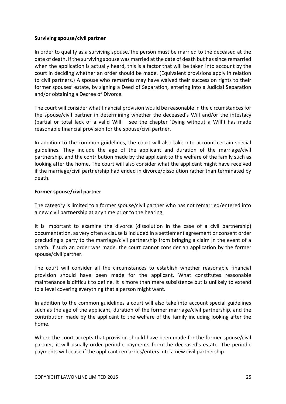## **Surviving spouse/civil partner**

In order to qualify as a surviving spouse, the person must be married to the deceased at the date of death. If the surviving spouse was married at the date of death but has since remarried when the application is actually heard, this is a factor that will be taken into account by the court in deciding whether an order should be made. (Equivalent provisions apply in relation to civil partners.) A spouse who remarries may have waived their succession rights to their former spouses' estate, by signing a Deed of Separation, entering into a Judicial Separation and/or obtaining a Decree of Divorce.

The court will consider what financial provision would be reasonable in the circumstances for the spouse/civil partner in determining whether the deceased's Will and/or the intestacy (partial or total lack of a valid Will – see the chapter ['Dying without a Will'](https://www.mylawyer.co.uk/law/index.cfm?event=article&node=B76691D77109A76991)) has made reasonable financial provision for the spouse/civil partner.

In addition to the common guidelines, the court will also take into account certain special guidelines. They include the age of the applicant and duration of the marriage/civil partnership, and the contribution made by the applicant to the welfare of the family such as looking after the home. The court will also consider what the applicant might have received if the marriage/civil partnership had ended in divorce/dissolution rather than terminated by death.

## **Former spouse/civil partner**

The category is limited to a former spouse/civil partner who has not remarried/entered into a new civil partnership at any time prior to the hearing.

It is important to examine the divorce (dissolution in the case of a civil partnership) documentation, as very often a clause is included in a settlement agreement or consent order precluding a party to the marriage/civil partnership from bringing a claim in the event of a death. If such an order was made, the court cannot consider an application by the former spouse/civil partner.

The court will consider all the circumstances to establish whether reasonable financial provision should have been made for the applicant. What constitutes reasonable maintenance is difficult to define. It is more than mere subsistence but is unlikely to extend to a level covering everything that a person might want.

In addition to the common guidelines a court will also take into account special guidelines such as the age of the applicant, duration of the former marriage/civil partnership, and the contribution made by the applicant to the welfare of the family including looking after the home.

Where the court accepts that provision should have been made for the former spouse/civil partner, it will usually order periodic payments from the deceased's estate. The periodic payments will cease if the applicant remarries/enters into a new civil partnership.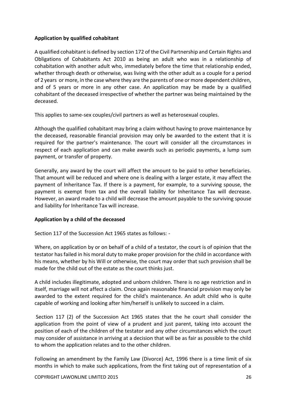## **Application by qualified cohabitant**

A qualified cohabitant is defined by section 172 of the Civil Partnership and Certain Rights and Obligations of Cohabitants Act 2010 as being an adult who was in a relationship of cohabitation with another adult who, immediately before the time that relationship ended, whether through death or otherwise, was living with the other adult as a couple for a period of 2 years or more, in the case where they are the parents of one or more dependent children, and of 5 years or more in any other case. An application may be made by a qualified cohabitant of the deceased irrespective of whether the partner was being maintained by the deceased.

This applies to same-sex couples/civil partners as well as heterosexual couples.

Although the qualified cohabitant may bring a claim without having to prove maintenance by the deceased, reasonable financial provision may only be awarded to the extent that it is required for the partner's maintenance. The court will consider all the circumstances in respect of each application and can make awards such as periodic payments, a lump sum payment, or transfer of property.

Generally, any award by the court will affect the amount to be paid to other beneficiaries. That amount will be reduced and where one is dealing with a larger estate, it may affect the payment of Inheritance Tax. If there is a payment, for example, to a surviving spouse, the payment is exempt from tax and the overall liability for Inheritance Tax will decrease. However, an award made to a child will decrease the amount payable to the surviving spouse and liability for Inheritance Tax will increase.

## **Application by a child of the deceased**

Section 117 of the Succession Act 1965 states as follows: -

Where, on application by or on behalf of a child of a testator, the court is of opinion that the testator has failed in his moral duty to make proper provision for the child in accordance with his means, whether by his Will or otherwise, the court may order that such provision shall be made for the child out of the estate as the court thinks just.

A child includes illegitimate, adopted and unborn children. There is no age restriction and in itself, marriage will not affect a claim. Once again reasonable financial provision may only be awarded to the extent required for the child's maintenance. An adult child who is quite capable of working and looking after him/herself is unlikely to succeed in a claim.

Section 117 (2) of the Succession Act 1965 states that the he court shall consider the application from the point of view of a prudent and just parent, taking into account the position of each of the children of the testator and any other circumstances which the court may consider of assistance in arriving at a decision that will be as fair as possible to the child to whom the application relates and to the other children.

Following an amendment by the Family Law (Divorce) Act, 1996 there is a time limit of six months in which to make such applications, from the first taking out of representation of a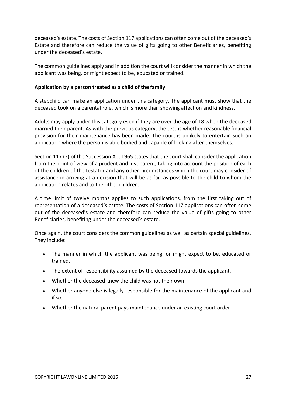deceased's estate. The costs of Section 117 applications can often come out of the deceased's Estate and therefore can reduce the value of gifts going to other Beneficiaries, benefiting under the deceased's estate.

The common guidelines apply and in addition the court will consider the manner in which the applicant was being, or might expect to be, educated or trained.

## **Application by a person treated as a child of the family**

A stepchild can make an application under this category. The applicant must show that the deceased took on a parental role, which is more than showing affection and kindness.

Adults may apply under this category even if they are over the age of 18 when the deceased married their parent. As with the previous category, the test is whether reasonable financial provision for their maintenance has been made. The court is unlikely to entertain such an application where the person is able bodied and capable of looking after themselves.

Section 117 (2) of the Succession Act 1965 states that the court shall consider the application from the point of view of a prudent and just parent, taking into account the position of each of the children of the testator and any other circumstances which the court may consider of assistance in arriving at a decision that will be as fair as possible to the child to whom the application relates and to the other children.

A time limit of twelve months applies to such applications, from the first taking out of representation of a deceased's estate. The costs of Section 117 applications can often come out of the deceased's estate and therefore can reduce the value of gifts going to other Beneficiaries, benefiting under the deceased's estate.

Once again, the court considers the common guidelines as well as certain special guidelines. They include:

- The manner in which the applicant was being, or might expect to be, educated or trained.
- The extent of responsibility assumed by the deceased towards the applicant.
- Whether the deceased knew the child was not their own.
- Whether anyone else is legally responsible for the maintenance of the applicant and if so,
- Whether the natural parent pays maintenance under an existing court order.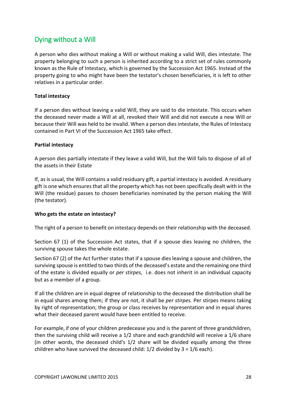# <span id="page-27-0"></span>Dying without a Will

A person who dies without making a Will or without making a valid Will, dies intestate. The property belonging to such a person is inherited according to a strict set of rules commonly known as the Rule of Intestacy, which is governed by the Succession Act 1965. Instead of the property going to who might have been the testator's chosen beneficiaries, it is left to other relatives in a particular order.

## **Total intestacy**

If a person dies without leaving a valid Will, they are said to die intestate. This occurs when the deceased never made a Will at all, revoked their Will and did not execute a new Will or because their Will was held to be invalid. When a person dies intestate, the Rules of Intestacy contained in Part VI of the Succession Act 1965 take effect.

## **Partial intestacy**

A person dies partially intestate if they leave a valid Will, but the Will fails to dispose of all of the assets in their Estate

If, as is usual, the Will contains a valid residuary gift, a partial intestacy is avoided. A residuary gift is one which ensures that all the property which has not been specifically dealt with in the Will (the residue) passes to chosen beneficiaries nominated by the person making the Will (the testator).

## **Who gets the estate on intestacy?**

The right of a person to benefit on intestacy depends on their relationship with the deceased.

Section 67 (1) of the Succession Act states, that if a spouse dies leaving no children, the surviving spouse takes the whole estate.

Section 67 (2) of the Act further states that if a spouse dies leaving a spouse and children, the surviving spouse is entitled to two thirds of the deceased's estate and the remaining one third of the estate is divided equally or *per stirpes,* i.e. does not inherit in an individual capacity but as a member of a group.

If all the children are in equal degree of relationship to the deceased the distribution shall be in equal shares among them; if they are not, it shall be *per stirpes.* Per stirpes means taking by right of representation; the group or class receives by representation and in equal shares what their deceased parent would have been entitled to receive.

For example, if one of your children predecease you and is the parent of three grandchildren, then the surviving child will receive a 1/2 share and each grandchild will receive a 1/6 share (in other words, the deceased child's 1/2 share will be divided equally among the three children who have survived the deceased child:  $1/2$  divided by  $3 = 1/6$  each).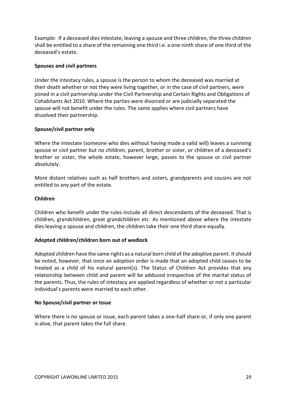Example: If a deceased dies intestate, leaving a spouse and three children, the three children shall be entitled to a share of the remaining one third i.e. a one ninth share of one third of the deceased's estate.

## **Spouses and civil partners**

Under the intestacy rules, a spouse is the person to whom the deceased was married at their death whether or not they were living together, or in the case of civil partners, were joined in a civil partnership under the Civil Partnership and Certain Rights and Obligations of Cohabitants Act 2010. Where the parties were divorced or are judicially separated the spouse will not benefit under the rules. The same applies where civil partners have dissolved their partnership.

## **Spouse/civil partner only**

Where the intestate (someone who dies without having made a valid will) leaves a surviving spouse or civil partner but no children, parent, brother or sister, or children of a deceased's brother or sister, the whole estate, however large, passes to the spouse or civil partner absolutely.

More distant relatives such as half brothers and sisters, grandparents and cousins are not entitled to any part of the estate.

## **Children**

Children who benefit under the rules include all direct descendants of the deceased. That is children, grandchildren, great grandchildren etc. As mentioned above where the intestate dies leaving a spouse and children, the children take their one third share equally.

## **Adopted children/children born out of wedlock**

Adopted children have the same rights as a natural born child of the adoptive parent. It should be noted, however, that once an adoption order is made that an adopted child ceases to be treated as a child of his natural parent(s). The Status of Children Act provides that any relationship between child and parent will be adduced irrespective of the marital status of the parents. Thus, the rules of intestacy are applied regardless of whether or not a particular individual's parents were married to each other.

## **No Spouse/civil partner or Issue**

Where there is no spouse or issue, each parent takes a one-half share or, if only one parent is alive, that parent takes the full share.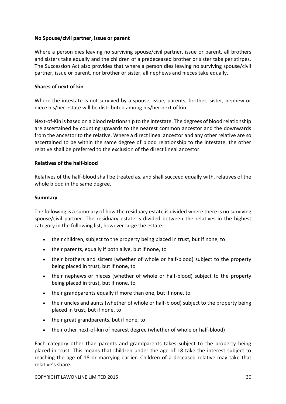## **No Spouse/civil partner, issue or parent**

Where a person dies leaving no surviving spouse/civil partner, issue or parent, all brothers and sisters take equally and the children of a predeceased brother or sister take per stirpes. The Succession Act also provides that where a person dies leaving no surviving spouse/civil partner, issue or parent, nor brother or sister, all nephews and nieces take equally.

## **Shares of next of kin**

Where the intestate is not survived by a spouse, issue, parents, brother, sister, nephew or niece his/her estate will be distributed among his/her next of kin.

Next-of-Kin is based on a blood relationship to the intestate. The degrees of blood relationship are ascertained by counting upwards to the nearest common ancestor and the downwards from the ancestor to the relative. Where a direct lineal ancestor and any other relative are so ascertained to be within the same degree of blood relationship to the intestate, the other relative shall be preferred to the exclusion of the direct lineal ancestor.

## **Relatives of the half-blood**

Relatives of the half-blood shall be treated as, and shall succeed equally with, relatives of the whole blood in the same degree.

## **Summary**

The following is a summary of how the residuary estate is divided where there is no surviving spouse/civil partner. The residuary estate is divided between the relatives in the highest category in the following list, however large the estate:

- their children, subject to the property being placed in trust, but if none, to
- their parents, equally if both alive, but if none, to
- their brothers and sisters (whether of whole or half-blood) subject to the property being placed in trust, but if none, to
- their nephews or nieces (whether of whole or half-blood) subject to the property being placed in trust, but if none, to
- their grandparents equally if more than one, but if none, to
- their uncles and aunts (whether of whole or half-blood) subject to the property being placed in trust, but if none, to
- their great grandparents, but if none, to
- their other next-of-kin of nearest degree (whether of whole or half-blood)

Each category other than parents and grandparents takes subject to the property being placed in trust. This means that children under the age of 18 take the interest subject to reaching the age of 18 or marrying earlier. Children of a deceased relative may take that relative's share.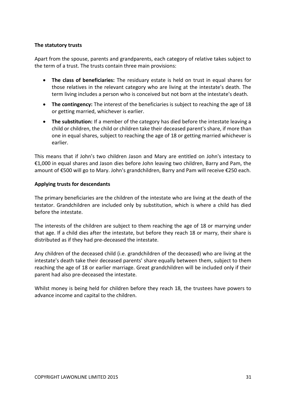## **The statutory trusts**

Apart from the spouse, parents and grandparents, each category of relative takes subject to the term of a trust. The trusts contain three main provisions:

- **The class of beneficiaries:** The residuary estate is held on trust in equal shares for those relatives in the relevant category who are living at the intestate's death. The term living includes a person who is conceived but not born at the intestate's death.
- **The contingency:** The interest of the beneficiaries is subject to reaching the age of 18 or getting married, whichever is earlier.
- **The substitution:** If a member of the category has died before the intestate leaving a child or children, the child or children take their deceased parent's share, if more than one in equal shares, subject to reaching the age of 18 or getting married whichever is earlier.

This means that if John's two children Jason and Mary are entitled on John's intestacy to €1,000 in equal shares and Jason dies before John leaving two children, Barry and Pam, the amount of €500 will go to Mary. John's grandchildren, Barry and Pam will receive €250 each.

## **Applying trusts for descendants**

The primary beneficiaries are the children of the intestate who are living at the death of the testator. Grandchildren are included only by substitution, which is where a child has died before the intestate.

The interests of the children are subject to them reaching the age of 18 or marrying under that age. If a child dies after the intestate, but before they reach 18 or marry, their share is distributed as if they had pre-deceased the intestate.

Any children of the deceased child (i.e. grandchildren of the deceased) who are living at the intestate's death take their deceased parents' share equally between them, subject to them reaching the age of 18 or earlier marriage. Great grandchildren will be included only if their parent had also pre-deceased the intestate.

<span id="page-30-0"></span>Whilst money is being held for children before they reach 18, the trustees have powers to advance income and capital to the children.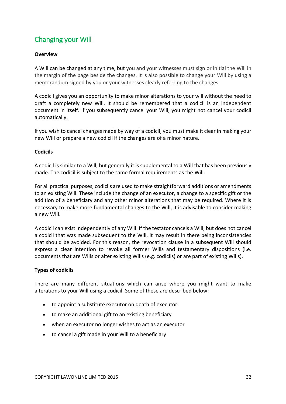# Changing your Will

## **Overview**

A Will can be changed at any time, but you and your witnesses must sign or initial the Will in the margin of the page beside the changes. It is also possible to change your Will by using a memorandum signed by you or your witnesses clearly referring to the changes.

A codicil gives you an opportunity to make minor alterations to your will without the need to draft a completely new Will. It should be remembered that a codicil is an independent document in itself. If you subsequently cancel your Will, you might not cancel your codicil automatically.

If you wish to cancel changes made by way of a codicil, you must make it clear in making your new Will or prepare a new codicil if the changes are of a minor nature.

## **Codicils**

A codicil is similar to a Will, but generally it is supplemental to a Will that has been previously made. The codicil is subject to the same formal requirements as the Will.

For all practical purposes, codicils are used to make straightforward additions or amendments to an existing Will. These include the change of an executor, a change to a specific gift or the addition of a beneficiary and any other minor alterations that may be required. Where it is necessary to make more fundamental changes to the Will, it is advisable to consider making a new Will.

A codicil can exist independently of any Will. If the testator cancels a Will, but does not cancel a codicil that was made subsequent to the Will, it may result in there being inconsistencies that should be avoided. For this reason, the revocation clause in a subsequent Will should express a clear intention to revoke all former Wills and testamentary dispositions (i.e. documents that are Wills or alter existing Wills (e.g. codicils) or are part of existing Wills).

## **Types of codicils**

There are many different situations which can arise where you might want to make alterations to your Will using a codicil. Some of these are described below:

- to appoint a substitute executor on death of executor
- to make an additional gift to an existing beneficiary
- when an executor no longer wishes to act as an executor
- to cancel a gift made in your Will to a beneficiary